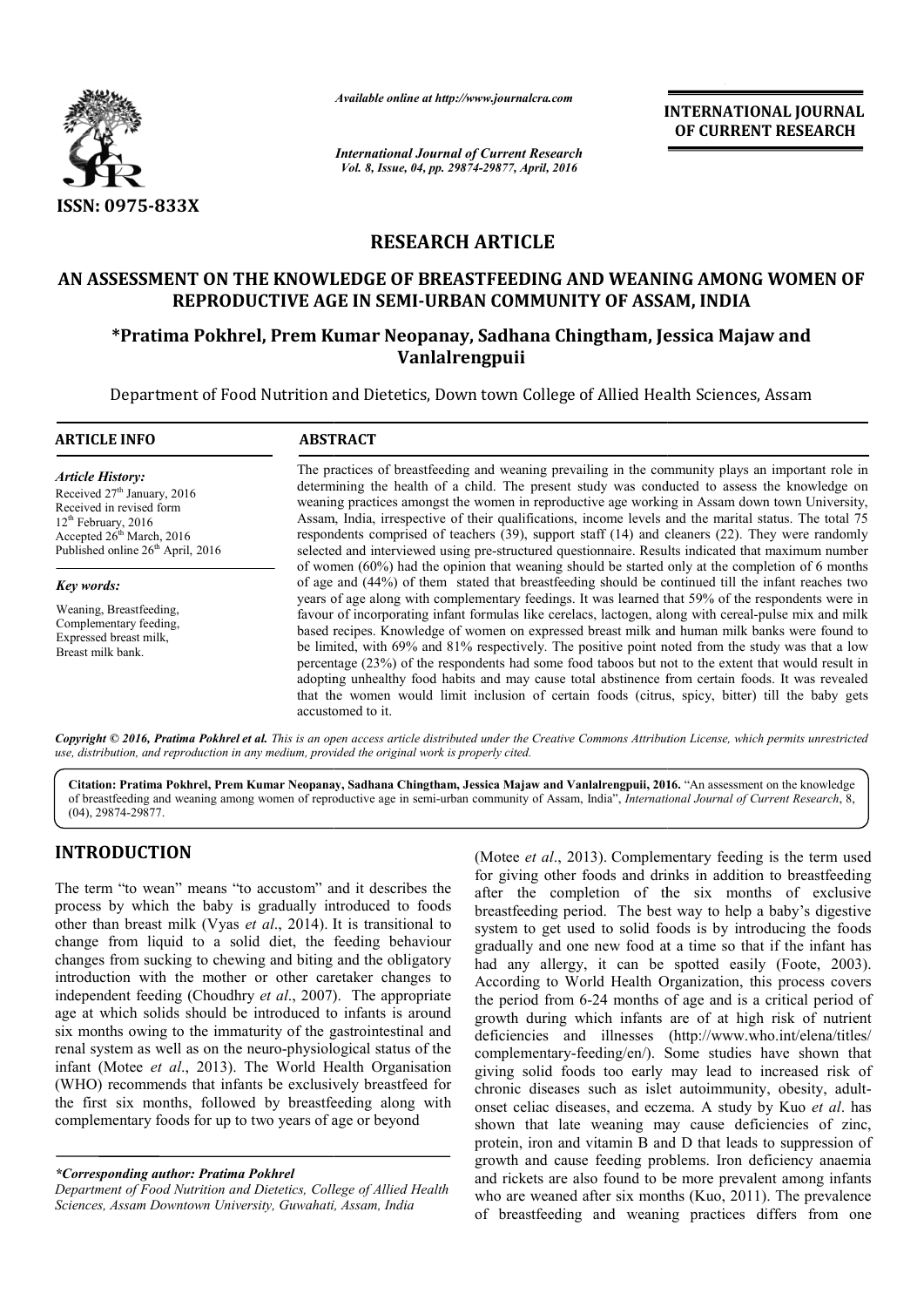

*Available online at http://www.journalcra.com*

*International Journal of Current Research Vol. 8, Issue, 04, pp. 29874-29877, April, 2016*

**INTERNATIONAL JOURNAL OF CURRENT RESEARCH** 

## **RESEARCH ARTICLE**

## **AN ASSESSMENT ON THE KNOWLEDGE OF BREASTFEEDING AND WEANING AMONG WOMEN OF AN REPRODUCTIVE AGE IN SEMI-URBAN COMMUNITY OF ASSAM, INDIA**

# **\*Pratima Pokhrel, Prem Kumar Neopanay, Sadhana Chingtham, Jessica Majaw and Pratima Vanlalrengpuii**

Department of Food Nutrition and Dietetics, Down town College of Allied Health Sciences, Assam

| <b>ARTICLE INFO</b>                                                                                                                                                                                               | <b>ABSTRACT</b>                                                                                                                                                                                                                                                                                                                                                                                                                                                                                                                                                                                                                                                                                                                                                                                                                                                                                                                                                     |  |  |
|-------------------------------------------------------------------------------------------------------------------------------------------------------------------------------------------------------------------|---------------------------------------------------------------------------------------------------------------------------------------------------------------------------------------------------------------------------------------------------------------------------------------------------------------------------------------------------------------------------------------------------------------------------------------------------------------------------------------------------------------------------------------------------------------------------------------------------------------------------------------------------------------------------------------------------------------------------------------------------------------------------------------------------------------------------------------------------------------------------------------------------------------------------------------------------------------------|--|--|
| <b>Article History:</b><br>Received 27 <sup>th</sup> January, 2016<br>Received in revised form<br>$12th$ February, 2016<br>Accepted 26 <sup>th</sup> March, 2016<br>Published online 26 <sup>th</sup> April, 2016 | The practices of breastfeeding and weaning prevailing in the community plays an important role in<br>determining the health of a child. The present study was conducted to assess the knowledge on<br>weaning practices amongst the women in reproductive age working in Assam down town University,<br>Assam, India, irrespective of their qualifications, income levels and the marital status. The total 75<br>respondents comprised of teachers (39), support staff (14) and cleaners (22). They were randomly<br>selected and interviewed using pre-structured questionnaire. Results indicated that maximum number                                                                                                                                                                                                                                                                                                                                            |  |  |
| Key words:<br>Weaning, Breastfeeding,<br>Complementary feeding,<br>Expressed breast milk,<br>Breast milk bank.                                                                                                    | of women $(60\%)$ had the opinion that weaning should be started only at the completion of 6 months<br>of age and (44%) of them stated that breastfeeding should be continued till the infant reaches two<br>years of age along with complementary feedings. It was learned that 59% of the respondents were in<br>favour of incorporating infant formulas like cerelacs, lactogen, along with cereal-pulse mix and milk<br>based recipes. Knowledge of women on expressed breast milk and human milk banks were found to<br>be limited, with 69% and 81% respectively. The positive point noted from the study was that a low<br>percentage (23%) of the respondents had some food taboos but not to the extent that would result in<br>adopting unhealthy food habits and may cause total abstinence from certain foods. It was revealed<br>that the women would limit inclusion of certain foods (citrus, spicy, bitter) till the baby gets<br>accustomed to it. |  |  |

Copyright © 2016, Pratima Pokhrel et al. This is an open access article distributed under the Creative Commons Attribution License, which permits unrestrictea *use, distribution, and reproduction in any medium, provided the original work is properly cited.*

Citation: Pratima Pokhrel, Prem Kumar Neopanay, Sadhana Chingtham, Jessica Majaw and Vanlalrengpuii, 2016. "An assessment on the knowledge of breastfeeding and weaning among women of reproductive age in semi semi-urban community of Assam, India", *International Journal of of Current Research*, 8, (04), 29874-29877.

# **INTRODUCTION**

The term "to wean" means "to accustom" and it describes the process by which the baby is gradually introduced to foods other than breast milk (Vyas *et al*., 2014). It is transitional to change from liquid to a solid diet, the feeding behaviour changes from sucking to chewing and biting and the obligatory introduction with the mother or other caretaker changes to independent feeding (Choudhry *et al*., 2007). 2007). The appropriate age at which solids should be introduced to infants is around six months owing to the immaturity of the gastrointestinal and renal system as well as on the neuro-physiological status of the infant (Motee *et al*., 2013). The World Health Organisation (WHO) recommends that infants be exclusively breastfeed for the first six months, followed by breastfeeding along with complementary foods for up to two years of age or beyond

*\*Corresponding author: Pratima Pokhrel*

*Department of Food Nutrition and Dietetics, College of Allied Health Sciences, Assam Downtown University, Guwahati, Assam, India*

(Motee *et al.*, 2013). Complementary feeding is the term used<br>for giving other foods and drinks in addition to breastfeeding<br>ually introduced to foods<br>breastfeeding period. The best way to help a baby's digestive<br>2014). for giving other foods and drinks in addition to breastfeeding for giving other foods and drinks in addition to breastfeeding after the completion of the six months of exclusive breastfeeding period. The best way to help a baby's digestive breastfeeding period. The best way to help a baby's digestive system to get used to solid foods is by introducing the foods gradually and one new food at a time so that if the infant has gradually and one new food at a time so that if the infant has had any allergy, it can be spotted easily (Foote, 2003). According to World Health Organization, this process covers the period from 6-24 months of age and is a critical period of growth during which infants are of at high risk of nutrient growth during which infants are of at high risk of nutrient deficiencies and illnesses (http://www.who.int/elena/titles/ complementary-feeding/en/). Some studies have shown that giving solid foods too early may lead to increased risk of chronic diseases such as islet autoimmunity, obesity, adult onset celiac diseases, and eczema. A study by Kuo et al. has shown that late weaning may cause deficiencies of zinc, protein, iron and vitamin B and D that leads to suppression of growth and cause feeding problems. Iron deficiency anaemia and rickets are also found to be more prevalent among infants who are weaned after six months (Kuo, 2011). The prevalence of breastfeeding and weaning practices differs from one ing/en/). Some studies have shown that<br>too early may lead to increased risk of<br>ch as islet autoimmunity, obesity, adultshown that late weaning may cause deficiencies of zinc, protein, iron and vitamin B and D that leads to suppression of growth and cause feeding problems. Iron deficiency anaemia and rickets are also found to be more preval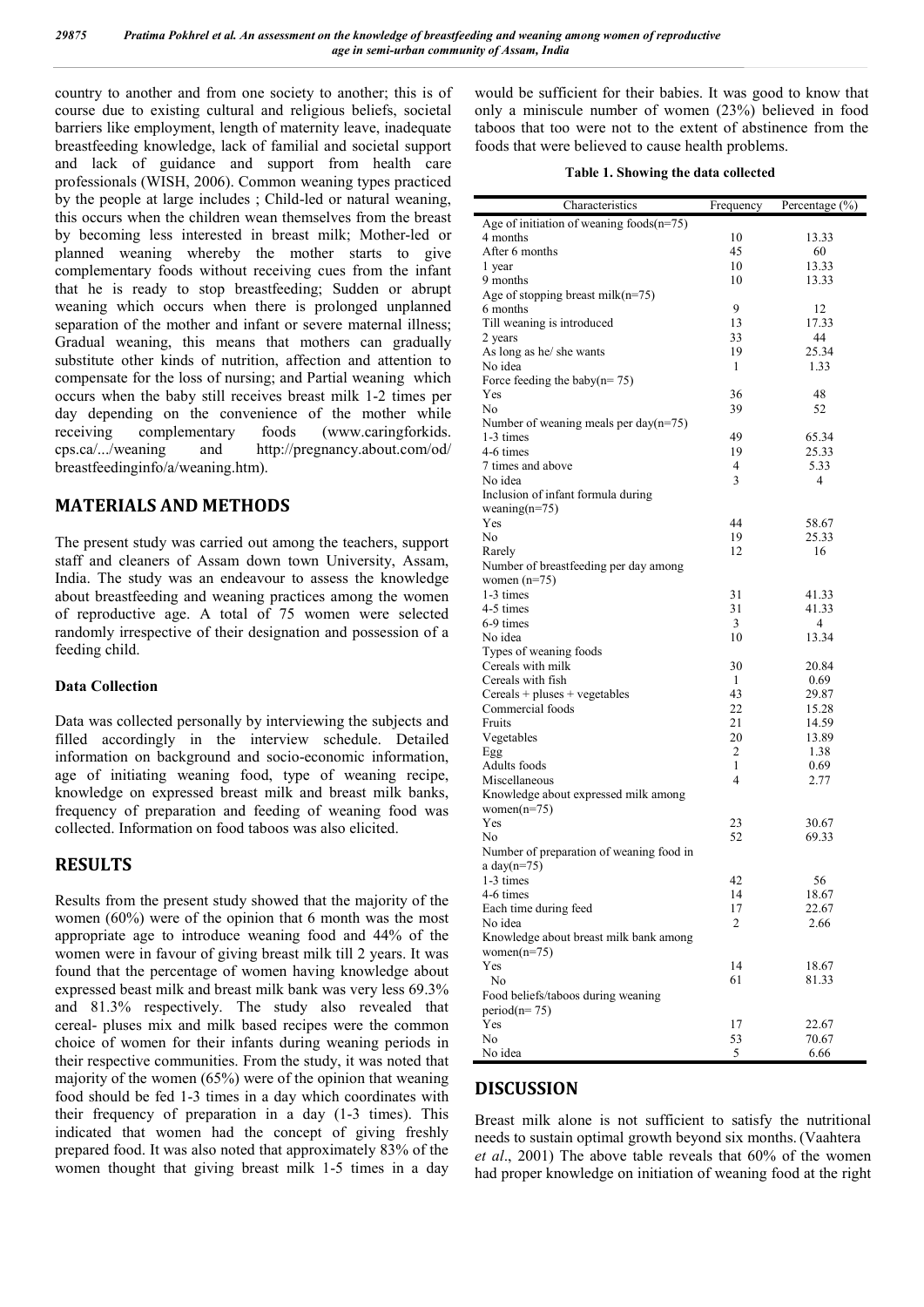country to another and from one society to another; this is of course due to existing cultural and religious beliefs, societal barriers like employment, length of maternity leave, inadequate breastfeeding knowledge, lack of familial and societal support and lack of guidance and support from health care professionals (WISH, 2006). Common weaning types practiced by the people at large includes ; Child-led or natural weaning, this occurs when the children wean themselves from the breast by becoming less interested in breast milk; Mother-led or planned weaning whereby the mother starts to give complementary foods without receiving cues from the infant that he is ready to stop breastfeeding; Sudden or abrupt weaning which occurs when there is prolonged unplanned separation of the mother and infant or severe maternal illness; Gradual weaning, this means that mothers can gradually substitute other kinds of nutrition, affection and attention to compensate for the loss of nursing; and Partial weaning which occurs when the baby still receives breast milk 1-2 times per day depending on the convenience of the mother while<br>receiving complementary foods (www.caringforkids. receiving complementary foods (www.caringforkids. cps.ca/.../weaning and http://pregnancy.about.com/od/ breastfeedinginfo/a/weaning.htm).

## **MATERIALS AND METHODS**

The present study was carried out among the teachers, support staff and cleaners of Assam down town University, Assam, India. The study was an endeavour to assess the knowledge about breastfeeding and weaning practices among the women of reproductive age. A total of 75 women were selected randomly irrespective of their designation and possession of a feeding child.

#### **Data Collection**

Data was collected personally by interviewing the subjects and filled accordingly in the interview schedule. Detailed information on background and socio-economic information, age of initiating weaning food, type of weaning recipe, knowledge on expressed breast milk and breast milk banks, frequency of preparation and feeding of weaning food was collected. Information on food taboos was also elicited.

## **RESULTS**

Results from the present study showed that the majority of the women (60%) were of the opinion that 6 month was the most appropriate age to introduce weaning food and 44% of the women were in favour of giving breast milk till 2 years. It was found that the percentage of women having knowledge about expressed beast milk and breast milk bank was very less 69.3% and 81.3% respectively. The study also revealed that cereal- pluses mix and milk based recipes were the common choice of women for their infants during weaning periods in their respective communities. From the study, it was noted that majority of the women (65%) were of the opinion that weaning food should be fed 1-3 times in a day which coordinates with their frequency of preparation in a day (1-3 times). This indicated that women had the concept of giving freshly prepared food. It was also noted that approximately 83% of the women thought that giving breast milk 1-5 times in a day

would be sufficient for their babies. It was good to know that only a miniscule number of women (23%) believed in food taboos that too were not to the extent of abstinence from the foods that were believed to cause health problems.

| Age of initiation of weaning foods $(n=75)$<br>4 months<br>10<br>13.33<br>After 6 months<br>45<br>60<br>1 year<br>10<br>13.33<br>10<br>13.33<br>9 months<br>Age of stopping breast milk(n=75)<br>9<br>6 months<br>12<br>Till weaning is introduced<br>13<br>17.33<br>33<br>2 years<br>44<br>As long as he/ she wants<br>19<br>25.34<br>No idea<br>$\mathbf{1}$<br>1.33<br>Force feeding the baby( $n = 75$ )<br>Yes<br>36<br>48<br>No.<br>52<br>39<br>Number of weaning meals per day( $n=75$ )<br>49<br>1-3 times<br>65.34<br>19<br>25.33<br>4-6 times<br>7 times and above<br>4<br>5.33<br>3<br>No idea<br>4<br>Inclusion of infant formula during<br>weaning( $n=75$ )<br>44<br>Yes<br>58.67<br>No.<br>19<br>25.33<br>12<br>Rarely<br>16<br>Number of breastfeeding per day among<br>women $(n=75)$<br>1-3 times<br>31<br>41.33<br>31<br>4-5 times<br>41.33<br>3<br>6-9 times<br>4<br>10<br>No idea<br>13.34<br>Types of weaning foods<br>Cereals with milk<br>30<br>20.84<br>Cereals with fish<br>1<br>0.69<br>Cereals + pluses + vegetables<br>43<br>29.87<br>22<br>Commercial foods<br>15.28<br>21<br>Fruits<br>14.59<br>Vegetables<br>20<br>13.89<br>2<br>1.38<br>Egg<br>Adults foods<br>1<br>0.69<br>4<br>2.77<br>Miscellaneous<br>Knowledge about expressed milk among<br>women $(n=75)$<br>Yes<br>23<br>30.67<br>52<br>No<br>69.33<br>Number of preparation of weaning food in<br>a day $(n=75)$<br>42<br>56<br>1-3 times<br>4-6 times<br>14<br>18.67<br>Each time during feed<br>17<br>22.67<br>No idea<br>2<br>2.66<br>Knowledge about breast milk bank among<br>women $(n=75)$<br>Yes<br>14<br>18.67<br>61<br>N <sub>0</sub><br>81.33<br>Food beliefs/taboos during weaning<br>$period(n=75)$<br>Yes<br>22.67<br>17<br>No.<br>53<br>70.67 | Characteristics | Frequency | Percentage (%) |
|--------------------------------------------------------------------------------------------------------------------------------------------------------------------------------------------------------------------------------------------------------------------------------------------------------------------------------------------------------------------------------------------------------------------------------------------------------------------------------------------------------------------------------------------------------------------------------------------------------------------------------------------------------------------------------------------------------------------------------------------------------------------------------------------------------------------------------------------------------------------------------------------------------------------------------------------------------------------------------------------------------------------------------------------------------------------------------------------------------------------------------------------------------------------------------------------------------------------------------------------------------------------------------------------------------------------------------------------------------------------------------------------------------------------------------------------------------------------------------------------------------------------------------------------------------------------------------------------------------------------------------------------------------------------------------------------------------------------------------------------------------|-----------------|-----------|----------------|
|                                                                                                                                                                                                                                                                                                                                                                                                                                                                                                                                                                                                                                                                                                                                                                                                                                                                                                                                                                                                                                                                                                                                                                                                                                                                                                                                                                                                                                                                                                                                                                                                                                                                                                                                                        |                 |           |                |
|                                                                                                                                                                                                                                                                                                                                                                                                                                                                                                                                                                                                                                                                                                                                                                                                                                                                                                                                                                                                                                                                                                                                                                                                                                                                                                                                                                                                                                                                                                                                                                                                                                                                                                                                                        |                 |           |                |
|                                                                                                                                                                                                                                                                                                                                                                                                                                                                                                                                                                                                                                                                                                                                                                                                                                                                                                                                                                                                                                                                                                                                                                                                                                                                                                                                                                                                                                                                                                                                                                                                                                                                                                                                                        |                 |           |                |
|                                                                                                                                                                                                                                                                                                                                                                                                                                                                                                                                                                                                                                                                                                                                                                                                                                                                                                                                                                                                                                                                                                                                                                                                                                                                                                                                                                                                                                                                                                                                                                                                                                                                                                                                                        |                 |           |                |
|                                                                                                                                                                                                                                                                                                                                                                                                                                                                                                                                                                                                                                                                                                                                                                                                                                                                                                                                                                                                                                                                                                                                                                                                                                                                                                                                                                                                                                                                                                                                                                                                                                                                                                                                                        |                 |           |                |
|                                                                                                                                                                                                                                                                                                                                                                                                                                                                                                                                                                                                                                                                                                                                                                                                                                                                                                                                                                                                                                                                                                                                                                                                                                                                                                                                                                                                                                                                                                                                                                                                                                                                                                                                                        |                 |           |                |
|                                                                                                                                                                                                                                                                                                                                                                                                                                                                                                                                                                                                                                                                                                                                                                                                                                                                                                                                                                                                                                                                                                                                                                                                                                                                                                                                                                                                                                                                                                                                                                                                                                                                                                                                                        |                 |           |                |
|                                                                                                                                                                                                                                                                                                                                                                                                                                                                                                                                                                                                                                                                                                                                                                                                                                                                                                                                                                                                                                                                                                                                                                                                                                                                                                                                                                                                                                                                                                                                                                                                                                                                                                                                                        |                 |           |                |
|                                                                                                                                                                                                                                                                                                                                                                                                                                                                                                                                                                                                                                                                                                                                                                                                                                                                                                                                                                                                                                                                                                                                                                                                                                                                                                                                                                                                                                                                                                                                                                                                                                                                                                                                                        |                 |           |                |
|                                                                                                                                                                                                                                                                                                                                                                                                                                                                                                                                                                                                                                                                                                                                                                                                                                                                                                                                                                                                                                                                                                                                                                                                                                                                                                                                                                                                                                                                                                                                                                                                                                                                                                                                                        |                 |           |                |
|                                                                                                                                                                                                                                                                                                                                                                                                                                                                                                                                                                                                                                                                                                                                                                                                                                                                                                                                                                                                                                                                                                                                                                                                                                                                                                                                                                                                                                                                                                                                                                                                                                                                                                                                                        |                 |           |                |
|                                                                                                                                                                                                                                                                                                                                                                                                                                                                                                                                                                                                                                                                                                                                                                                                                                                                                                                                                                                                                                                                                                                                                                                                                                                                                                                                                                                                                                                                                                                                                                                                                                                                                                                                                        |                 |           |                |
|                                                                                                                                                                                                                                                                                                                                                                                                                                                                                                                                                                                                                                                                                                                                                                                                                                                                                                                                                                                                                                                                                                                                                                                                                                                                                                                                                                                                                                                                                                                                                                                                                                                                                                                                                        |                 |           |                |
|                                                                                                                                                                                                                                                                                                                                                                                                                                                                                                                                                                                                                                                                                                                                                                                                                                                                                                                                                                                                                                                                                                                                                                                                                                                                                                                                                                                                                                                                                                                                                                                                                                                                                                                                                        |                 |           |                |
|                                                                                                                                                                                                                                                                                                                                                                                                                                                                                                                                                                                                                                                                                                                                                                                                                                                                                                                                                                                                                                                                                                                                                                                                                                                                                                                                                                                                                                                                                                                                                                                                                                                                                                                                                        |                 |           |                |
|                                                                                                                                                                                                                                                                                                                                                                                                                                                                                                                                                                                                                                                                                                                                                                                                                                                                                                                                                                                                                                                                                                                                                                                                                                                                                                                                                                                                                                                                                                                                                                                                                                                                                                                                                        |                 |           |                |
|                                                                                                                                                                                                                                                                                                                                                                                                                                                                                                                                                                                                                                                                                                                                                                                                                                                                                                                                                                                                                                                                                                                                                                                                                                                                                                                                                                                                                                                                                                                                                                                                                                                                                                                                                        |                 |           |                |
|                                                                                                                                                                                                                                                                                                                                                                                                                                                                                                                                                                                                                                                                                                                                                                                                                                                                                                                                                                                                                                                                                                                                                                                                                                                                                                                                                                                                                                                                                                                                                                                                                                                                                                                                                        |                 |           |                |
|                                                                                                                                                                                                                                                                                                                                                                                                                                                                                                                                                                                                                                                                                                                                                                                                                                                                                                                                                                                                                                                                                                                                                                                                                                                                                                                                                                                                                                                                                                                                                                                                                                                                                                                                                        |                 |           |                |
|                                                                                                                                                                                                                                                                                                                                                                                                                                                                                                                                                                                                                                                                                                                                                                                                                                                                                                                                                                                                                                                                                                                                                                                                                                                                                                                                                                                                                                                                                                                                                                                                                                                                                                                                                        |                 |           |                |
|                                                                                                                                                                                                                                                                                                                                                                                                                                                                                                                                                                                                                                                                                                                                                                                                                                                                                                                                                                                                                                                                                                                                                                                                                                                                                                                                                                                                                                                                                                                                                                                                                                                                                                                                                        |                 |           |                |
|                                                                                                                                                                                                                                                                                                                                                                                                                                                                                                                                                                                                                                                                                                                                                                                                                                                                                                                                                                                                                                                                                                                                                                                                                                                                                                                                                                                                                                                                                                                                                                                                                                                                                                                                                        |                 |           |                |
|                                                                                                                                                                                                                                                                                                                                                                                                                                                                                                                                                                                                                                                                                                                                                                                                                                                                                                                                                                                                                                                                                                                                                                                                                                                                                                                                                                                                                                                                                                                                                                                                                                                                                                                                                        |                 |           |                |
|                                                                                                                                                                                                                                                                                                                                                                                                                                                                                                                                                                                                                                                                                                                                                                                                                                                                                                                                                                                                                                                                                                                                                                                                                                                                                                                                                                                                                                                                                                                                                                                                                                                                                                                                                        |                 |           |                |
|                                                                                                                                                                                                                                                                                                                                                                                                                                                                                                                                                                                                                                                                                                                                                                                                                                                                                                                                                                                                                                                                                                                                                                                                                                                                                                                                                                                                                                                                                                                                                                                                                                                                                                                                                        |                 |           |                |
|                                                                                                                                                                                                                                                                                                                                                                                                                                                                                                                                                                                                                                                                                                                                                                                                                                                                                                                                                                                                                                                                                                                                                                                                                                                                                                                                                                                                                                                                                                                                                                                                                                                                                                                                                        |                 |           |                |
|                                                                                                                                                                                                                                                                                                                                                                                                                                                                                                                                                                                                                                                                                                                                                                                                                                                                                                                                                                                                                                                                                                                                                                                                                                                                                                                                                                                                                                                                                                                                                                                                                                                                                                                                                        |                 |           |                |
|                                                                                                                                                                                                                                                                                                                                                                                                                                                                                                                                                                                                                                                                                                                                                                                                                                                                                                                                                                                                                                                                                                                                                                                                                                                                                                                                                                                                                                                                                                                                                                                                                                                                                                                                                        |                 |           |                |
|                                                                                                                                                                                                                                                                                                                                                                                                                                                                                                                                                                                                                                                                                                                                                                                                                                                                                                                                                                                                                                                                                                                                                                                                                                                                                                                                                                                                                                                                                                                                                                                                                                                                                                                                                        |                 |           |                |
|                                                                                                                                                                                                                                                                                                                                                                                                                                                                                                                                                                                                                                                                                                                                                                                                                                                                                                                                                                                                                                                                                                                                                                                                                                                                                                                                                                                                                                                                                                                                                                                                                                                                                                                                                        |                 |           |                |
|                                                                                                                                                                                                                                                                                                                                                                                                                                                                                                                                                                                                                                                                                                                                                                                                                                                                                                                                                                                                                                                                                                                                                                                                                                                                                                                                                                                                                                                                                                                                                                                                                                                                                                                                                        |                 |           |                |
|                                                                                                                                                                                                                                                                                                                                                                                                                                                                                                                                                                                                                                                                                                                                                                                                                                                                                                                                                                                                                                                                                                                                                                                                                                                                                                                                                                                                                                                                                                                                                                                                                                                                                                                                                        |                 |           |                |
|                                                                                                                                                                                                                                                                                                                                                                                                                                                                                                                                                                                                                                                                                                                                                                                                                                                                                                                                                                                                                                                                                                                                                                                                                                                                                                                                                                                                                                                                                                                                                                                                                                                                                                                                                        |                 |           |                |
|                                                                                                                                                                                                                                                                                                                                                                                                                                                                                                                                                                                                                                                                                                                                                                                                                                                                                                                                                                                                                                                                                                                                                                                                                                                                                                                                                                                                                                                                                                                                                                                                                                                                                                                                                        |                 |           |                |
|                                                                                                                                                                                                                                                                                                                                                                                                                                                                                                                                                                                                                                                                                                                                                                                                                                                                                                                                                                                                                                                                                                                                                                                                                                                                                                                                                                                                                                                                                                                                                                                                                                                                                                                                                        |                 |           |                |
|                                                                                                                                                                                                                                                                                                                                                                                                                                                                                                                                                                                                                                                                                                                                                                                                                                                                                                                                                                                                                                                                                                                                                                                                                                                                                                                                                                                                                                                                                                                                                                                                                                                                                                                                                        |                 |           |                |
|                                                                                                                                                                                                                                                                                                                                                                                                                                                                                                                                                                                                                                                                                                                                                                                                                                                                                                                                                                                                                                                                                                                                                                                                                                                                                                                                                                                                                                                                                                                                                                                                                                                                                                                                                        |                 |           |                |
|                                                                                                                                                                                                                                                                                                                                                                                                                                                                                                                                                                                                                                                                                                                                                                                                                                                                                                                                                                                                                                                                                                                                                                                                                                                                                                                                                                                                                                                                                                                                                                                                                                                                                                                                                        |                 |           |                |
|                                                                                                                                                                                                                                                                                                                                                                                                                                                                                                                                                                                                                                                                                                                                                                                                                                                                                                                                                                                                                                                                                                                                                                                                                                                                                                                                                                                                                                                                                                                                                                                                                                                                                                                                                        |                 |           |                |
|                                                                                                                                                                                                                                                                                                                                                                                                                                                                                                                                                                                                                                                                                                                                                                                                                                                                                                                                                                                                                                                                                                                                                                                                                                                                                                                                                                                                                                                                                                                                                                                                                                                                                                                                                        |                 |           |                |
|                                                                                                                                                                                                                                                                                                                                                                                                                                                                                                                                                                                                                                                                                                                                                                                                                                                                                                                                                                                                                                                                                                                                                                                                                                                                                                                                                                                                                                                                                                                                                                                                                                                                                                                                                        |                 |           |                |
|                                                                                                                                                                                                                                                                                                                                                                                                                                                                                                                                                                                                                                                                                                                                                                                                                                                                                                                                                                                                                                                                                                                                                                                                                                                                                                                                                                                                                                                                                                                                                                                                                                                                                                                                                        |                 |           |                |
|                                                                                                                                                                                                                                                                                                                                                                                                                                                                                                                                                                                                                                                                                                                                                                                                                                                                                                                                                                                                                                                                                                                                                                                                                                                                                                                                                                                                                                                                                                                                                                                                                                                                                                                                                        |                 |           |                |
|                                                                                                                                                                                                                                                                                                                                                                                                                                                                                                                                                                                                                                                                                                                                                                                                                                                                                                                                                                                                                                                                                                                                                                                                                                                                                                                                                                                                                                                                                                                                                                                                                                                                                                                                                        |                 |           |                |
|                                                                                                                                                                                                                                                                                                                                                                                                                                                                                                                                                                                                                                                                                                                                                                                                                                                                                                                                                                                                                                                                                                                                                                                                                                                                                                                                                                                                                                                                                                                                                                                                                                                                                                                                                        |                 |           |                |
|                                                                                                                                                                                                                                                                                                                                                                                                                                                                                                                                                                                                                                                                                                                                                                                                                                                                                                                                                                                                                                                                                                                                                                                                                                                                                                                                                                                                                                                                                                                                                                                                                                                                                                                                                        |                 |           |                |
|                                                                                                                                                                                                                                                                                                                                                                                                                                                                                                                                                                                                                                                                                                                                                                                                                                                                                                                                                                                                                                                                                                                                                                                                                                                                                                                                                                                                                                                                                                                                                                                                                                                                                                                                                        |                 |           |                |
|                                                                                                                                                                                                                                                                                                                                                                                                                                                                                                                                                                                                                                                                                                                                                                                                                                                                                                                                                                                                                                                                                                                                                                                                                                                                                                                                                                                                                                                                                                                                                                                                                                                                                                                                                        |                 |           |                |
|                                                                                                                                                                                                                                                                                                                                                                                                                                                                                                                                                                                                                                                                                                                                                                                                                                                                                                                                                                                                                                                                                                                                                                                                                                                                                                                                                                                                                                                                                                                                                                                                                                                                                                                                                        |                 |           |                |
|                                                                                                                                                                                                                                                                                                                                                                                                                                                                                                                                                                                                                                                                                                                                                                                                                                                                                                                                                                                                                                                                                                                                                                                                                                                                                                                                                                                                                                                                                                                                                                                                                                                                                                                                                        |                 |           |                |
|                                                                                                                                                                                                                                                                                                                                                                                                                                                                                                                                                                                                                                                                                                                                                                                                                                                                                                                                                                                                                                                                                                                                                                                                                                                                                                                                                                                                                                                                                                                                                                                                                                                                                                                                                        |                 |           |                |
|                                                                                                                                                                                                                                                                                                                                                                                                                                                                                                                                                                                                                                                                                                                                                                                                                                                                                                                                                                                                                                                                                                                                                                                                                                                                                                                                                                                                                                                                                                                                                                                                                                                                                                                                                        |                 |           |                |
|                                                                                                                                                                                                                                                                                                                                                                                                                                                                                                                                                                                                                                                                                                                                                                                                                                                                                                                                                                                                                                                                                                                                                                                                                                                                                                                                                                                                                                                                                                                                                                                                                                                                                                                                                        |                 |           |                |
|                                                                                                                                                                                                                                                                                                                                                                                                                                                                                                                                                                                                                                                                                                                                                                                                                                                                                                                                                                                                                                                                                                                                                                                                                                                                                                                                                                                                                                                                                                                                                                                                                                                                                                                                                        |                 |           |                |
|                                                                                                                                                                                                                                                                                                                                                                                                                                                                                                                                                                                                                                                                                                                                                                                                                                                                                                                                                                                                                                                                                                                                                                                                                                                                                                                                                                                                                                                                                                                                                                                                                                                                                                                                                        |                 |           |                |
|                                                                                                                                                                                                                                                                                                                                                                                                                                                                                                                                                                                                                                                                                                                                                                                                                                                                                                                                                                                                                                                                                                                                                                                                                                                                                                                                                                                                                                                                                                                                                                                                                                                                                                                                                        |                 |           |                |
|                                                                                                                                                                                                                                                                                                                                                                                                                                                                                                                                                                                                                                                                                                                                                                                                                                                                                                                                                                                                                                                                                                                                                                                                                                                                                                                                                                                                                                                                                                                                                                                                                                                                                                                                                        |                 |           |                |
|                                                                                                                                                                                                                                                                                                                                                                                                                                                                                                                                                                                                                                                                                                                                                                                                                                                                                                                                                                                                                                                                                                                                                                                                                                                                                                                                                                                                                                                                                                                                                                                                                                                                                                                                                        | No idea         | 5         | 6.66           |

## **DISCUSSION**

Breast milk alone is not sufficient to satisfy the nutritional needs to sustain optimal growth beyond six months. (Vaahtera *et al*., 2001) The above table reveals that 60% of the women had proper knowledge on initiation of weaning food at the right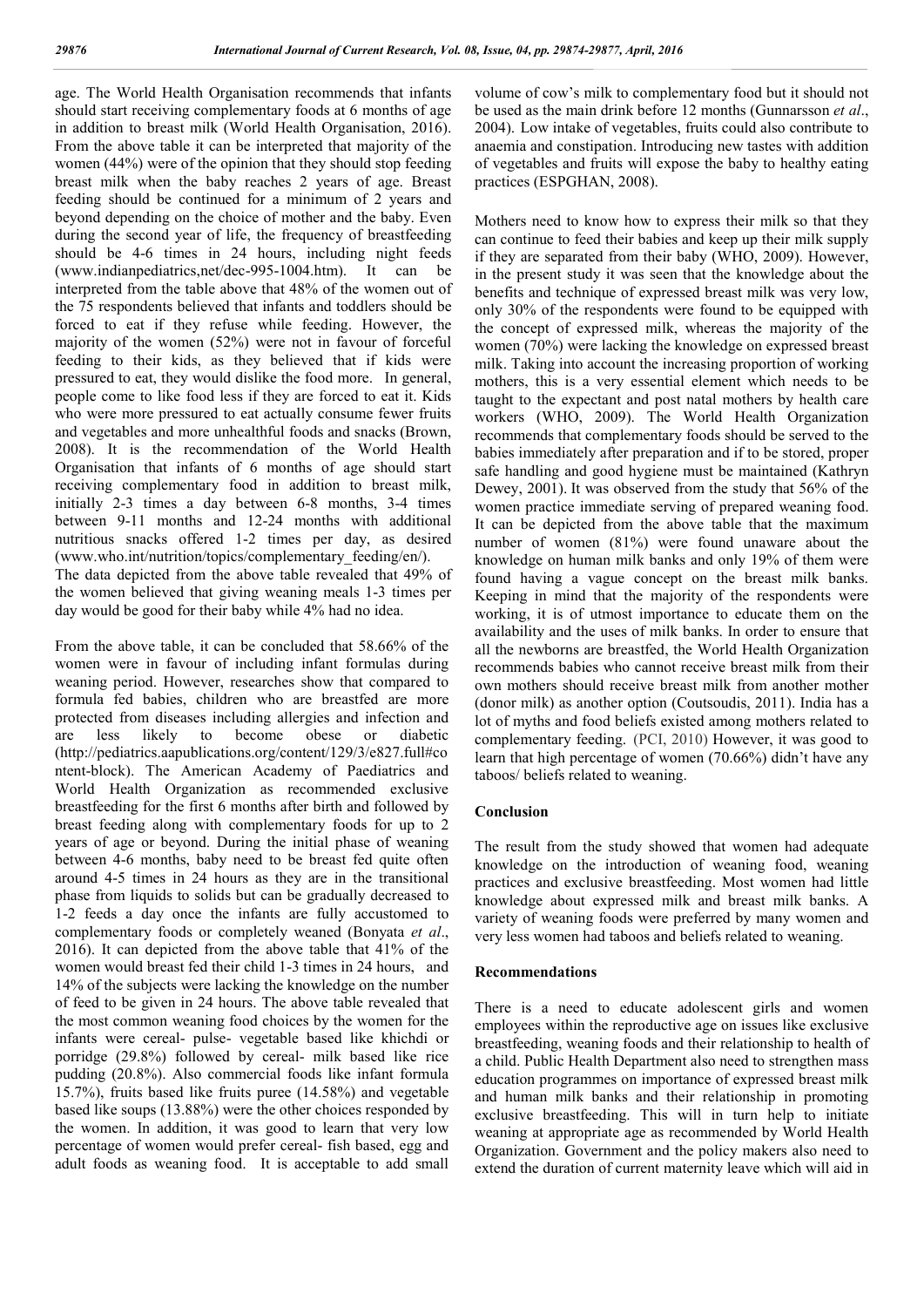age. The World Health Organisation recommends that infants should start receiving complementary foods at 6 months of age in addition to breast milk (World Health Organisation, 2016). From the above table it can be interpreted that majority of the women (44%) were of the opinion that they should stop feeding breast milk when the baby reaches 2 years of age. Breast feeding should be continued for a minimum of 2 years and beyond depending on the choice of mother and the baby. Even during the second year of life, the frequency of breastfeeding should be 4-6 times in 24 hours, including night feeds (www.indianpediatrics,net/dec-995-1004.htm). It can be interpreted from the table above that 48% of the women out of the 75 respondents believed that infants and toddlers should be forced to eat if they refuse while feeding. However, the majority of the women (52%) were not in favour of forceful feeding to their kids, as they believed that if kids were pressured to eat, they would dislike the food more. In general, people come to like food less if they are forced to eat it. Kids who were more pressured to eat actually consume fewer fruits and vegetables and more unhealthful foods and snacks (Brown, 2008). It is the recommendation of the World Health Organisation that infants of 6 months of age should start receiving complementary food in addition to breast milk, initially 2-3 times a day between 6-8 months, 3-4 times between 9-11 months and 12-24 months with additional nutritious snacks offered 1-2 times per day, as desired (www.who.int/nutrition/topics/complementary\_feeding/en/). The data depicted from the above table revealed that 49% of

the women believed that giving weaning meals 1-3 times per day would be good for their baby while 4% had no idea.

From the above table, it can be concluded that 58.66% of the women were in favour of including infant formulas during weaning period. However, researches show that compared to formula fed babies, children who are breastfed are more protected from diseases including allergies and infection and are less likely to become obese or diabetic (http://pediatrics.aapublications.org/content/129/3/e827.full#co ntent-block). The American Academy of Paediatrics and World Health Organization as recommended exclusive breastfeeding for the first 6 months after birth and followed by breast feeding along with complementary foods for up to 2 years of age or beyond. During the initial phase of weaning between 4-6 months, baby need to be breast fed quite often around 4-5 times in 24 hours as they are in the transitional phase from liquids to solids but can be gradually decreased to 1-2 feeds a day once the infants are fully accustomed to complementary foods or completely weaned (Bonyata *et al*., 2016). It can depicted from the above table that 41% of the women would breast fed their child 1-3 times in 24 hours, and 14% of the subjects were lacking the knowledge on the number of feed to be given in 24 hours. The above table revealed that the most common weaning food choices by the women for the infants were cereal- pulse- vegetable based like khichdi or porridge (29.8%) followed by cereal- milk based like rice pudding (20.8%). Also commercial foods like infant formula 15.7%), fruits based like fruits puree (14.58%) and vegetable based like soups (13.88%) were the other choices responded by the women. In addition, it was good to learn that very low percentage of women would prefer cereal- fish based, egg and adult foods as weaning food. It is acceptable to add small

volume of cow's milk to complementary food but it should not be used as the main drink before 12 months (Gunnarsson *et al*., 2004). Low intake of vegetables, fruits could also contribute to anaemia and constipation. Introducing new tastes with addition of vegetables and fruits will expose the baby to healthy eating practices (ESPGHAN, 2008).

Mothers need to know how to express their milk so that they can continue to feed their babies and keep up their milk supply if they are separated from their baby (WHO, 2009). However, in the present study it was seen that the knowledge about the benefits and technique of expressed breast milk was very low, only 30% of the respondents were found to be equipped with the concept of expressed milk, whereas the majority of the women (70%) were lacking the knowledge on expressed breast milk. Taking into account the increasing proportion of working mothers, this is a very essential element which needs to be taught to the expectant and post natal mothers by health care workers (WHO, 2009). The World Health Organization recommends that complementary foods should be served to the babies immediately after preparation and if to be stored, proper safe handling and good hygiene must be maintained (Kathryn Dewey, 2001). It was observed from the study that 56% of the women practice immediate serving of prepared weaning food. It can be depicted from the above table that the maximum number of women (81%) were found unaware about the knowledge on human milk banks and only 19% of them were found having a vague concept on the breast milk banks. Keeping in mind that the majority of the respondents were working, it is of utmost importance to educate them on the availability and the uses of milk banks. In order to ensure that all the newborns are breastfed, the World Health Organization recommends babies who cannot receive breast milk from their own mothers should receive breast milk from another mother (donor milk) as another option (Coutsoudis, 2011). India has a lot of myths and food beliefs existed among mothers related to complementary feeding. (PCI, 2010) However, it was good to learn that high percentage of women (70.66%) didn't have any taboos/ beliefs related to weaning.

#### **Conclusion**

The result from the study showed that women had adequate knowledge on the introduction of weaning food, weaning practices and exclusive breastfeeding. Most women had little knowledge about expressed milk and breast milk banks. A variety of weaning foods were preferred by many women and very less women had taboos and beliefs related to weaning.

#### **Recommendations**

There is a need to educate adolescent girls and women employees within the reproductive age on issues like exclusive breastfeeding, weaning foods and their relationship to health of a child. Public Health Department also need to strengthen mass education programmes on importance of expressed breast milk and human milk banks and their relationship in promoting exclusive breastfeeding. This will in turn help to initiate weaning at appropriate age as recommended by World Health Organization. Government and the policy makers also need to extend the duration of current maternity leave which will aid in